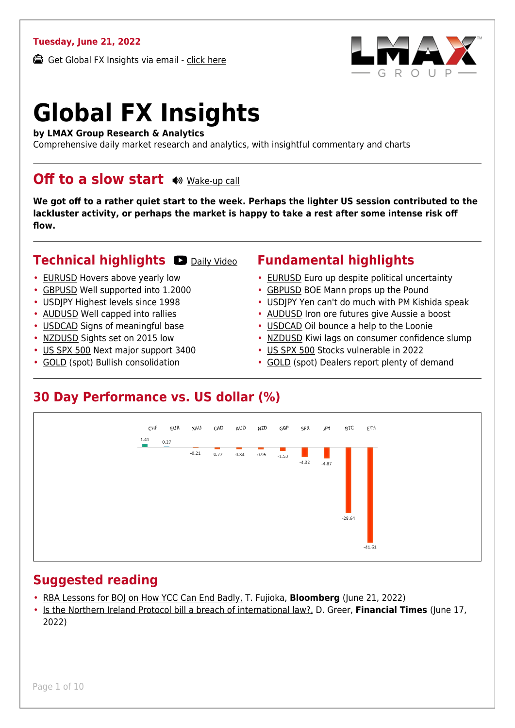#### **Tuesday, June 21, 2022**

Get Global FX Insights via email - [click here](https://www.lmax.com/blog/global-fx-insights/sign-up/?src=gfxipdf)



# **Global FX Insights**

**by LMAX Group Research & Analytics**

Comprehensive daily market research and analytics, with insightful commentary and charts

#### **Off to a slow start**  $\bullet$  [Wake-up call](https://www.lmax.com/blog/global-fx-insights/2022/06/21/off-to-a-slow-start/?utm_source=GlobalFXInsights-Newsletter&utm_medium=Email&utm_campaign=GlobalFXInsights&audio=play#wakeup-53948)

**We got off to a rather quiet start to the week. Perhaps the lighter US session contributed to the lackluster activity, or perhaps the market is happy to take a rest after some intense risk off flow.**

#### **Technical highlights C** [Daily Video](https://www.lmax.com/blog/global-fx-insights/2022/06/21/off-to-a-slow-start/?utm_source=GlobalFXInsights-Newsletter&utm_medium=Email&utm_campaign=GlobalFXInsights&popup=watch#charttalk-53948)

- [EURUSD](#page-1-0) Hovers above yearly low
- [GBPUSD](#page-2-0) Well supported into 1.2000
- [USDJPY](#page-3-0) Highest levels since 1998
- [AUDUSD](#page-4-0) Well capped into rallies
- [USDCAD](#page-5-0) Signs of meaningful base
- [NZDUSD](#page-6-0) Sights set on 2015 low
- [US SPX 500](#page-7-0) Next major support 3400
- [GOLD](#page-8-0) (spot) Bullish consolidation

#### **Fundamental highlights**

- [EURUSD](#page-1-1) Euro up despite political uncertainty
- [GBPUSD](#page-2-1) BOE Mann props up the Pound
- [USDJPY](#page-3-1) Yen can't do much with PM Kishida speak
- [AUDUSD](#page-4-1) Iron ore futures give Aussie a boost
- [USDCAD](#page-5-1) Oil bounce a help to the Loonie
- [NZDUSD](#page-6-1) Kiwi lags on consumer confidence slump
- [US SPX 500](#page-7-1) Stocks vulnerable in 2022
- [GOLD](#page-8-1) (spot) Dealers report plenty of demand

#### **30 Day Performance vs. US dollar (%)**



#### **Suggested reading**

- [RBA Lessons for BOJ on How YCC Can End Badly,](https://www.lmax.com/blog/global-fx-insights/2022/06/21/off-to-a-slow-start/?read=https://www.bloomberg.com/news/articles/2022-06-21/rba-s-lessons-for-boj-on-how-yield-curve-control-can-end-badly?srnd=markets-vp#xj4y7vzkg) T. Fujioka, **Bloomberg** (June 21, 2022)
- [Is the Northern Ireland Protocol bill a breach of international law?,](https://www.lmax.com/blog/global-fx-insights/2022/06/21/off-to-a-slow-start/?read=https://www.ft.com/video/f6fe2afe-5810-4887-8d5b-c378e0b553dc?playlist-name=latest&playlist-offset=1) D. Greer, **Financial Times** (June 17, 2022)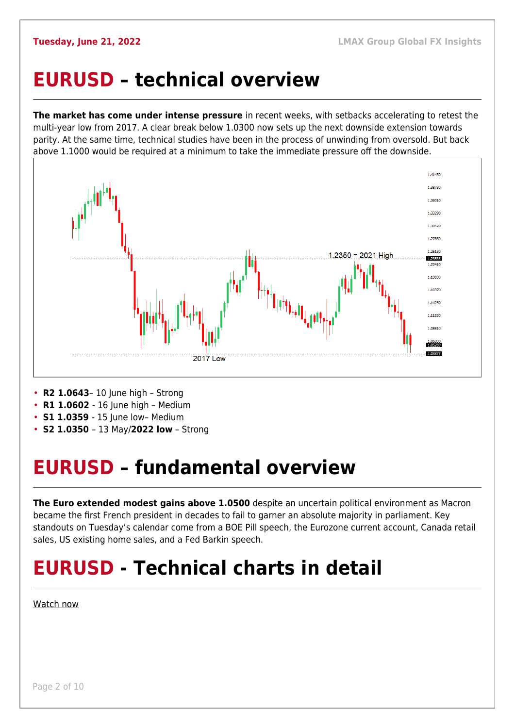### <span id="page-1-0"></span>**EURUSD – technical overview**

**The market has come under intense pressure** in recent weeks, with setbacks accelerating to retest the multi-year low from 2017. A clear break below 1.0300 now sets up the next downside extension towards parity. At the same time, technical studies have been in the process of unwinding from oversold. But back above 1.1000 would be required at a minimum to take the immediate pressure off the downside.



- **R2 1.0643** 10 June high Strong
- **R1 1.0602** 16 June high Medium
- **S1 1.0359**  15 June low– Medium
- **S2 1.0350**  13 May/**2022 low** Strong

## <span id="page-1-1"></span>**EURUSD – fundamental overview**

**The Euro extended modest gains above 1.0500** despite an uncertain political environment as Macron became the first French president in decades to fail to garner an absolute majority in parliament. Key standouts on Tuesday's calendar come from a BOE Pill speech, the Eurozone current account, Canada retail sales, US existing home sales, and a Fed Barkin speech.

## **EURUSD - Technical charts in detail**

[Watch now](https://youtu.be/1s_gNAwnbnA)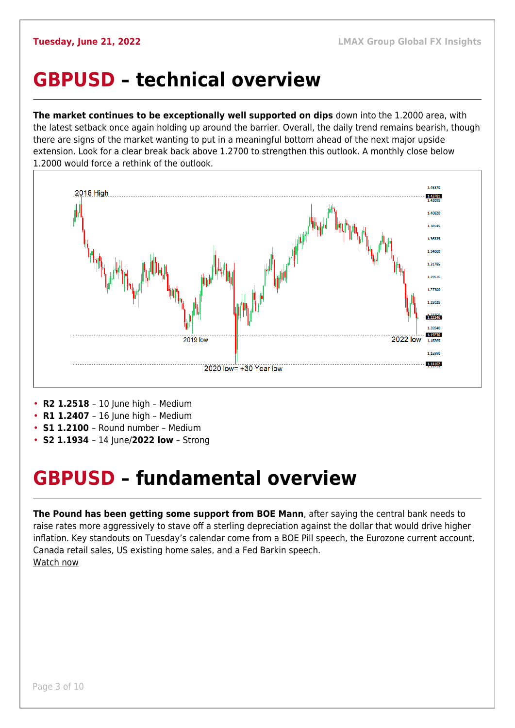#### <span id="page-2-0"></span>**GBPUSD – technical overview**

**The market continues to be exceptionally well supported on dips** down into the 1.2000 area, with the latest setback once again holding up around the barrier. Overall, the daily trend remains bearish, though there are signs of the market wanting to put in a meaningful bottom ahead of the next major upside extension. Look for a clear break back above 1.2700 to strengthen this outlook. A monthly close below 1.2000 would force a rethink of the outlook.



- **R2 1.2518** 10 June high Medium
- **R1 1.2407** 16 June high Medium
- **S1 1.2100**  Round number Medium
- **S2 1.1934**  14 June/**2022 low** Strong

#### <span id="page-2-1"></span>**GBPUSD – fundamental overview**

**The Pound has been getting some support from BOE Mann**, after saying the central bank needs to raise rates more aggressively to stave off a sterling depreciation against the dollar that would drive higher inflation. Key standouts on Tuesday's calendar come from a BOE Pill speech, the Eurozone current account, Canada retail sales, US existing home sales, and a Fed Barkin speech. [Watch now](https://youtu.be/GxHVYmz0ISI)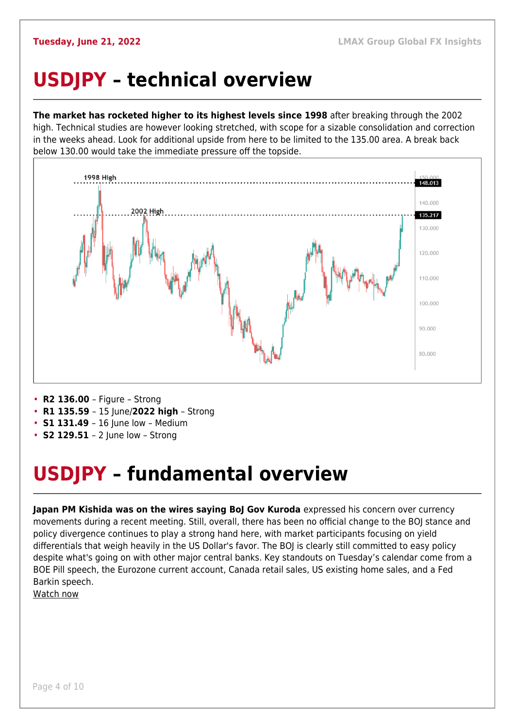## <span id="page-3-0"></span>**USDJPY – technical overview**

**The market has rocketed higher to its highest levels since 1998** after breaking through the 2002 high. Technical studies are however looking stretched, with scope for a sizable consolidation and correction in the weeks ahead. Look for additional upside from here to be limited to the 135.00 area. A break back below 130.00 would take the immediate pressure off the topside.



- **R2 136.00**  Figure Strong
- **R1 135.59**  15 June/**2022 high** Strong
- **S1 131.49** 16 June low Medium
- **S2 129.51**  2 June low Strong

## <span id="page-3-1"></span>**USDJPY – fundamental overview**

**Japan PM Kishida was on the wires saying BoJ Gov Kuroda** expressed his concern over currency movements during a recent meeting. Still, overall, there has been no official change to the BOJ stance and policy divergence continues to play a strong hand here, with market participants focusing on yield differentials that weigh heavily in the US Dollar's favor. The BOJ is clearly still committed to easy policy despite what's going on with other major central banks. Key standouts on Tuesday's calendar come from a BOE Pill speech, the Eurozone current account, Canada retail sales, US existing home sales, and a Fed Barkin speech.

[Watch now](https://youtu.be/5iw8z8kH8EU)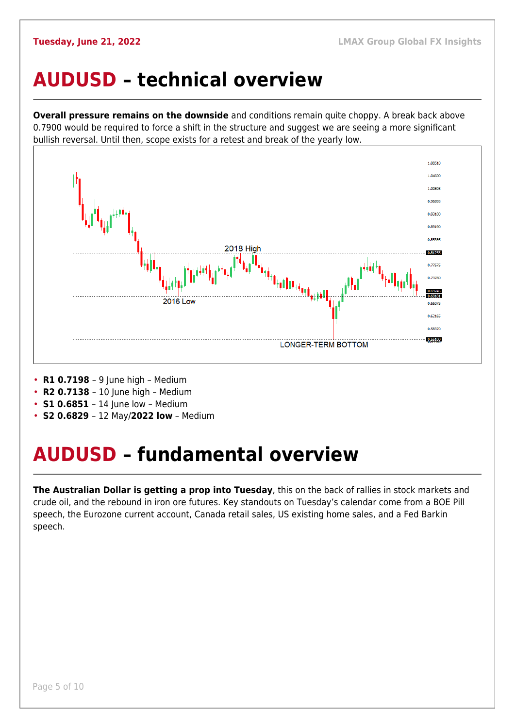#### <span id="page-4-0"></span>**AUDUSD – technical overview**

**Overall pressure remains on the downside** and conditions remain quite choppy. A break back above 0.7900 would be required to force a shift in the structure and suggest we are seeing a more significant bullish reversal. Until then, scope exists for a retest and break of the yearly low.



- **R1 0.7198**  9 June high Medium
- **R2 0.7138**  10 June high Medium
- **S1 0.6851** 14 June low Medium
- **S2 0.6829**  12 May/**2022 low** Medium

## <span id="page-4-1"></span>**AUDUSD – fundamental overview**

**The Australian Dollar is getting a prop into Tuesday**, this on the back of rallies in stock markets and crude oil, and the rebound in iron ore futures. Key standouts on Tuesday's calendar come from a BOE Pill speech, the Eurozone current account, Canada retail sales, US existing home sales, and a Fed Barkin speech.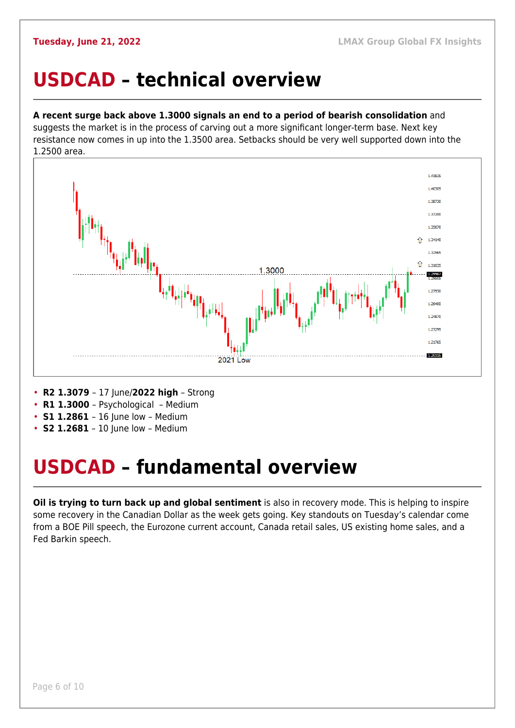### <span id="page-5-0"></span>**USDCAD – technical overview**

#### **A recent surge back above 1.3000 signals an end to a period of bearish consolidation** and

suggests the market is in the process of carving out a more significant longer-term base. Next key resistance now comes in up into the 1.3500 area. Setbacks should be very well supported down into the 1.2500 area.



- **R2 1.3079**  17 June/**2022 high** Strong
- **R1 1.3000**  Psychological Medium
- **S1 1.2861**  16 June low Medium
- **S2 1.2681** 10 June low Medium

## <span id="page-5-1"></span>**USDCAD – fundamental overview**

**Oil is trying to turn back up and global sentiment** is also in recovery mode. This is helping to inspire some recovery in the Canadian Dollar as the week gets going. Key standouts on Tuesday's calendar come from a BOE Pill speech, the Eurozone current account, Canada retail sales, US existing home sales, and a Fed Barkin speech.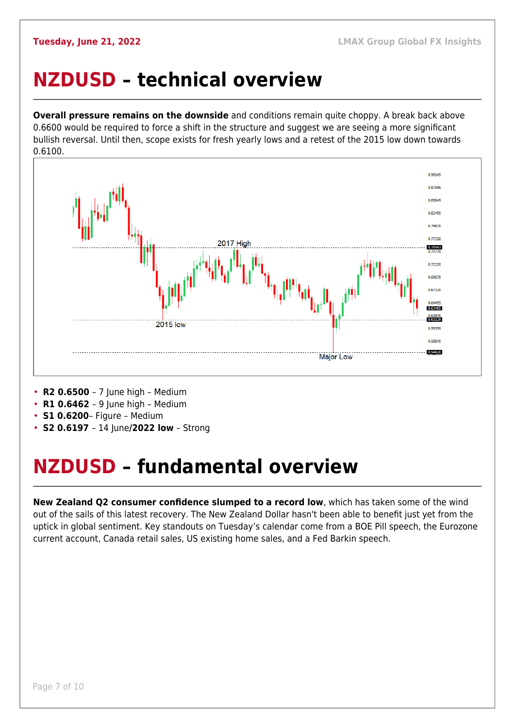### <span id="page-6-0"></span>**NZDUSD – technical overview**

**Overall pressure remains on the downside** and conditions remain quite choppy. A break back above 0.6600 would be required to force a shift in the structure and suggest we are seeing a more significant bullish reversal. Until then, scope exists for fresh yearly lows and a retest of the 2015 low down towards 0.6100.



- **R2 0.6500**  7 June high Medium
- **R1 0.6462**  9 June high Medium
- **S1 0.6200** Figure Medium
- **S2 0.6197**  14 June**/2022 low** Strong

## <span id="page-6-1"></span>**NZDUSD – fundamental overview**

**New Zealand Q2 consumer confidence slumped to a record low**, which has taken some of the wind out of the sails of this latest recovery. The New Zealand Dollar hasn't been able to benefit just yet from the uptick in global sentiment. Key standouts on Tuesday's calendar come from a BOE Pill speech, the Eurozone current account, Canada retail sales, US existing home sales, and a Fed Barkin speech.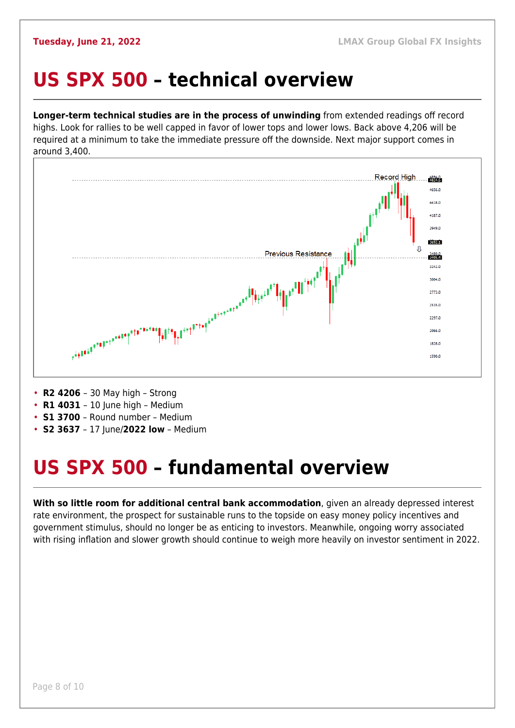#### <span id="page-7-0"></span>**US SPX 500 – technical overview**

**Longer-term technical studies are in the process of unwinding** from extended readings off record highs. Look for rallies to be well capped in favor of lower tops and lower lows. Back above 4,206 will be required at a minimum to take the immediate pressure off the downside. Next major support comes in around 3,400.



- **R2 4206**  30 May high Strong
- **R1 4031** 10 June high Medium
- **S1 3700**  Round number Medium
- **S2 3637**  17 June/**2022 low** Medium

## <span id="page-7-1"></span>**US SPX 500 – fundamental overview**

**With so little room for additional central bank accommodation**, given an already depressed interest rate environment, the prospect for sustainable runs to the topside on easy money policy incentives and government stimulus, should no longer be as enticing to investors. Meanwhile, ongoing worry associated with rising inflation and slower growth should continue to weigh more heavily on investor sentiment in 2022.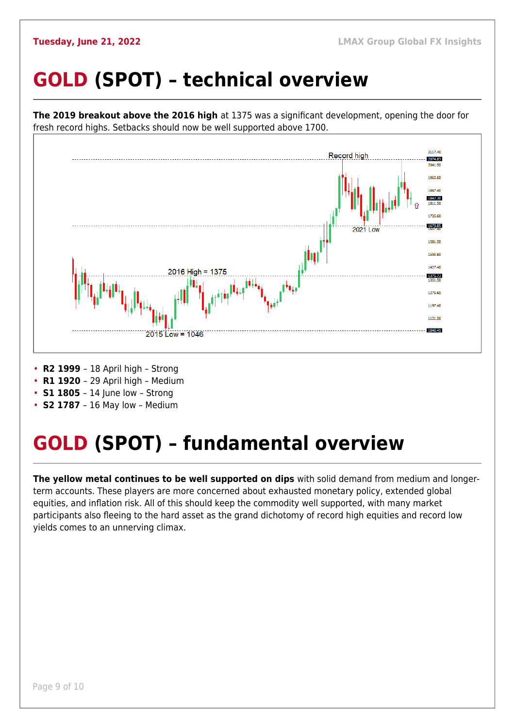## <span id="page-8-0"></span>**GOLD (SPOT) – technical overview**



- **S1 1805** 14 June low Strong
- **S2 1787**  16 May low Medium

## <span id="page-8-1"></span>**GOLD (SPOT) – fundamental overview**

**The yellow metal continues to be well supported on dips** with solid demand from medium and longerterm accounts. These players are more concerned about exhausted monetary policy, extended global equities, and inflation risk. All of this should keep the commodity well supported, with many market participants also fleeing to the hard asset as the grand dichotomy of record high equities and record low yields comes to an unnerving climax.